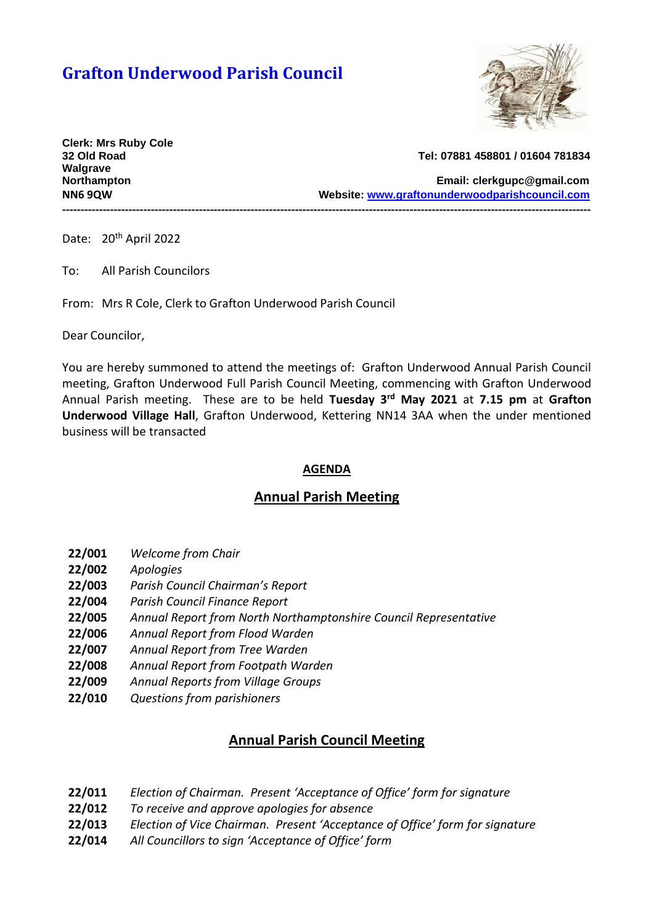# **Grafton Underwood Parish Council**



**Clerk: Mrs Ruby Cole Walgrave** 

### **32 Old Road Tel: 07881 458801 / 01604 781834**

**Northampton Email: [clerkgupc@gmail.com](mailto:clerkgupc@gmail.com) NN6 9QW Website: [www.graftonunderwoodparishcouncil.com](http://www.graftonunderwoodparishcouncil.com/)**

Date: 20<sup>th</sup> April 2022

To: All Parish Councilors

From: Mrs R Cole, Clerk to Grafton Underwood Parish Council

Dear Councilor,

You are hereby summoned to attend the meetings of: Grafton Underwood Annual Parish Council meeting, Grafton Underwood Full Parish Council Meeting, commencing with Grafton Underwood Annual Parish meeting. These are to be held **Tuesday 3rd May 2021** at **7.15 pm** at **Grafton Underwood Village Hall**, Grafton Underwood, Kettering NN14 3AA when the under mentioned business will be transacted

**-----------------------------------------------------------------------------------------------------------------------------------------------**

## **AGENDA**

## **Annual Parish Meeting**

- **22/001** *Welcome from Chair*
- **22/002** *Apologies*
- **22/003** *Parish Council Chairman's Report*
- **22/004** *Parish Council Finance Report*
- **22/005** *Annual Report from North Northamptonshire Council Representative*
- **22/006** *Annual Report from Flood Warden*
- **22/007** *Annual Report from Tree Warden*
- **22/008** *Annual Report from Footpath Warden*
- **22/009** *Annual Reports from Village Groups*
- **22/010** *Questions from parishioners*

# **Annual Parish Council Meeting**

- **22/011** *Election of Chairman. Present 'Acceptance of Office' form for signature*
- **22/012** *To receive and approve apologies for absence*
- **22/013** *Election of Vice Chairman. Present 'Acceptance of Office' form for signature*
- **22/014** *All Councillors to sign 'Acceptance of Office' form*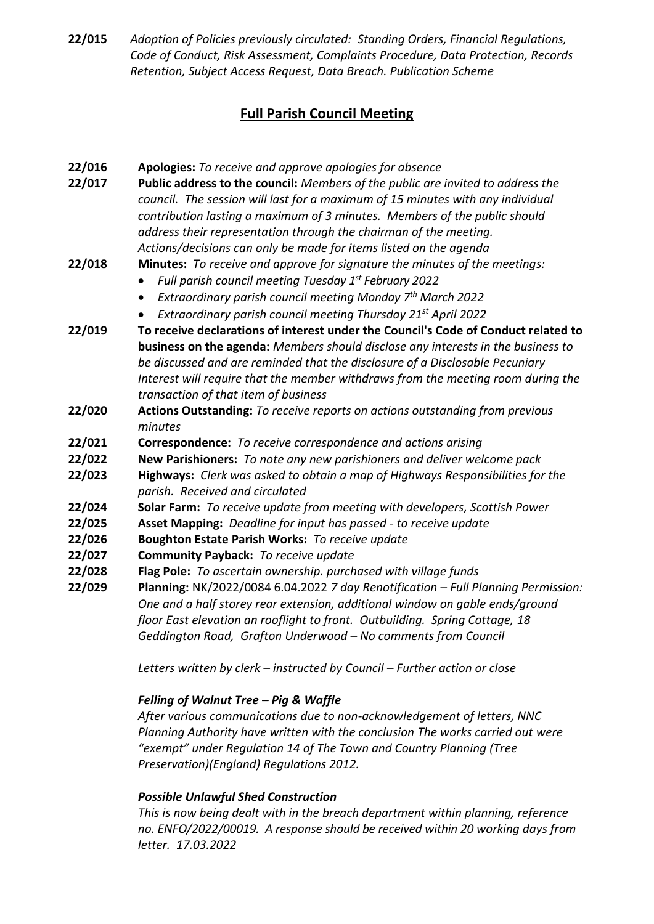**22/015** *Adoption of Policies previously circulated: Standing Orders, Financial Regulations, Code of Conduct, Risk Assessment, Complaints Procedure, Data Protection, Records Retention, Subject Access Request, Data Breach. Publication Scheme*

# **Full Parish Council Meeting**

- **22/016 Apologies:** *To receive and approve apologies for absence*
- **22/017 Public address to the council:** *Members of the public are invited to address the council. The session will last for a maximum of 15 minutes with any individual contribution lasting a maximum of 3 minutes. Members of the public should address their representation through the chairman of the meeting. Actions/decisions can only be made for items listed on the agenda*
- **22/018 Minutes:** *To receive and approve for signature the minutes of the meetings:*
	- *Full parish council meeting Tuesday 1 st February 2022*
	- *Extraordinary parish council meeting Monday 7th March 2022*
	- *Extraordinary parish council meeting Thursday 21st April 2022*
- **22/019 To receive declarations of interest under the Council's Code of Conduct related to business on the agenda:** *Members should disclose any interests in the business to be discussed and are reminded that the disclosure of a Disclosable Pecuniary Interest will require that the member withdraws from the meeting room during the transaction of that item of business*
- **22/020 Actions Outstanding:** *To receive reports on actions outstanding from previous minutes*
- **22/021 Correspondence:** *To receive correspondence and actions arising*
- **22/022 New Parishioners:** *To note any new parishioners and deliver welcome pack*
- **22/023 Highways:** *Clerk was asked to obtain a map of Highways Responsibilities for the parish.**Received and circulated*
- **22/024 Solar Farm:** *To receive update from meeting with developers, Scottish Power*
- **22/025 Asset Mapping:** *Deadline for input has passed - to receive update*
- **22/026 Boughton Estate Parish Works:** *To receive update*
- **22/027 Community Payback:** *To receive update*
- **22/028 Flag Pole:** *To ascertain ownership. purchased with village funds*
- **22/029 Planning:** NK/2022/0084 6.04.2022 *7 day Renotification – Full Planning Permission: One and a half storey rear extension, additional window on gable ends/ground floor East elevation an rooflight to front. Outbuilding. Spring Cottage, 18 Geddington Road, Grafton Underwood – No comments from Council*

*Letters written by clerk – instructed by Council – Further action or close*

### *Felling of Walnut Tree – Pig & Waffle*

*After various communications due to non-acknowledgement of letters, NNC Planning Authority have written with the conclusion The works carried out were "exempt" under Regulation 14 of The Town and Country Planning (Tree Preservation)(England) Regulations 2012.* 

### *Possible Unlawful Shed Construction*

*This is now being dealt with in the breach department within planning, reference no. ENFO/2022/00019. A response should be received within 20 working days from letter. 17.03.2022*